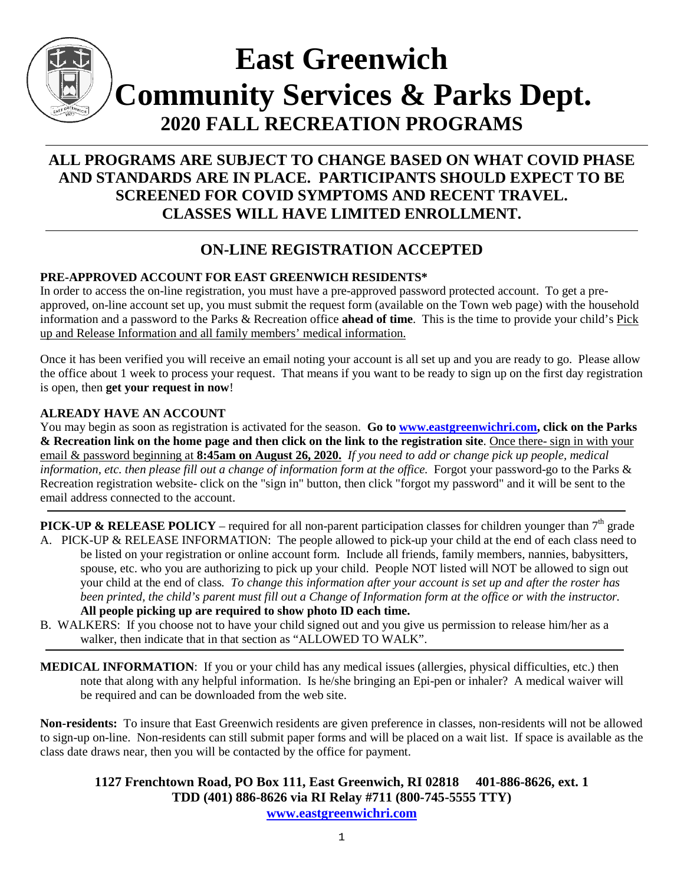

# **East Greenwich Community Services & Parks Dept. 2020 FALL RECREATION PROGRAMS**

# **ALL PROGRAMS ARE SUBJECT TO CHANGE BASED ON WHAT COVID PHASE AND STANDARDS ARE IN PLACE. PARTICIPANTS SHOULD EXPECT TO BE SCREENED FOR COVID SYMPTOMS AND RECENT TRAVEL. CLASSES WILL HAVE LIMITED ENROLLMENT.**

# **ON-LINE REGISTRATION ACCEPTED**

#### **PRE-APPROVED ACCOUNT FOR EAST GREENWICH RESIDENTS\***

In order to access the on-line registration, you must have a pre-approved password protected account. To get a preapproved, on-line account set up, you must submit the request form (available on the Town web page) with the household information and a password to the Parks & Recreation office **ahead of time**. This is the time to provide your child's Pick up and Release Information and all family members' medical information.

Once it has been verified you will receive an email noting your account is all set up and you are ready to go. Please allow the office about 1 week to process your request. That means if you want to be ready to sign up on the first day registration is open, then **get your request in now**!

#### **ALREADY HAVE AN ACCOUNT**

You may begin as soon as registration is activated for the season. **Go to [www.eastgreenwichri.com,](http://www.eastgreenwichri.com/) click on the Parks & Recreation link on the home page and then click on the link to the registration site**. Once there- sign in with your email & password beginning at **8:45am on August 26, 2020.** *If you need to add or change pick up people, medical information, etc. then please fill out a change of information form at the office.* Forgot your password-go to the Parks & Recreation registration website- click on the "sign in" button, then click "forgot my password" and it will be sent to the email address connected to the account.

**PICK-UP & RELEASE POLICY** – required for all non-parent participation classes for children younger than  $7<sup>th</sup>$  grade A. PICK-UP & RELEASE INFORMATION: The people allowed to pick-up your child at the end of each class need to

- be listed on your registration or online account form. Include all friends, family members, nannies, babysitters, spouse, etc. who you are authorizing to pick up your child. People NOT listed will NOT be allowed to sign out your child at the end of class*. To change this information after your account is set up and after the roster has been printed, the child's parent must fill out a Change of Information form at the office or with the instructor.* **All people picking up are required to show photo ID each time.**
- B. WALKERS: If you choose not to have your child signed out and you give us permission to release him/her as a walker, then indicate that in that section as "ALLOWED TO WALK".
- **MEDICAL INFORMATION**: If you or your child has any medical issues (allergies, physical difficulties, etc.) then note that along with any helpful information. Is he/she bringing an Epi-pen or inhaler? A medical waiver will be required and can be downloaded from the web site.

**Non-residents:** To insure that East Greenwich residents are given preference in classes, non-residents will not be allowed to sign-up on-line. Non-residents can still submit paper forms and will be placed on a wait list. If space is available as the class date draws near, then you will be contacted by the office for payment.

#### **1127 Frenchtown Road, PO Box 111, East Greenwich, RI 02818 401-886-8626, ext. 1 TDD (401) 886-8626 via RI Relay #711 (800-745-5555 TTY) [www.eastgreenwichri.com](http://www.eastgreenwichri.com/)**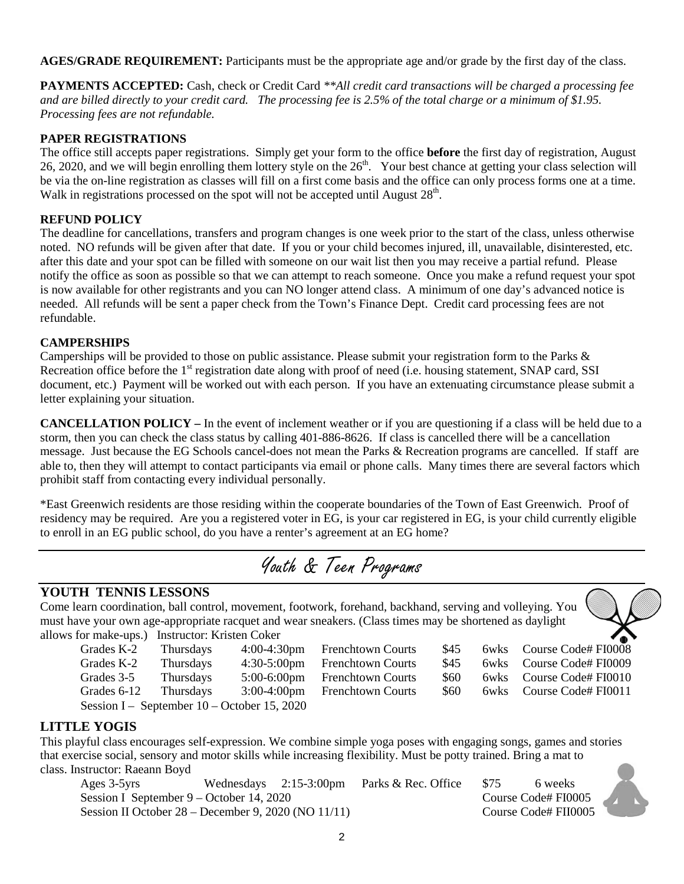**AGES/GRADE REQUIREMENT:** Participants must be the appropriate age and/or grade by the first day of the class.

**PAYMENTS ACCEPTED:** Cash, check or Credit Card *\*\*All credit card transactions will be charged a processing fee and are billed directly to your credit card. The processing fee is 2.5% of the total charge or a minimum of \$1.95. Processing fees are not refundable.*

#### **PAPER REGISTRATIONS**

The office still accepts paper registrations. Simply get your form to the office **before** the first day of registration, August 26, 2020, and we will begin enrolling them lottery style on the  $26<sup>th</sup>$ . Your best chance at getting your class selection will be via the on-line registration as classes will fill on a first come basis and the office can only process forms one at a time. Walk in registrations processed on the spot will not be accepted until August  $28<sup>th</sup>$ .

#### **REFUND POLICY**

The deadline for cancellations, transfers and program changes is one week prior to the start of the class, unless otherwise noted. NO refunds will be given after that date. If you or your child becomes injured, ill, unavailable, disinterested, etc. after this date and your spot can be filled with someone on our wait list then you may receive a partial refund. Please notify the office as soon as possible so that we can attempt to reach someone. Once you make a refund request your spot is now available for other registrants and you can NO longer attend class. A minimum of one day's advanced notice is needed. All refunds will be sent a paper check from the Town's Finance Dept. Credit card processing fees are not refundable.

#### **CAMPERSHIPS**

Camperships will be provided to those on public assistance. Please submit your registration form to the Parks & Recreation office before the 1<sup>st</sup> registration date along with proof of need (i.e. housing statement, SNAP card, SSI document, etc.) Payment will be worked out with each person. If you have an extenuating circumstance please submit a letter explaining your situation.

**CANCELLATION POLICY –** In the event of inclement weather or if you are questioning if a class will be held due to a storm, then you can check the class status by calling 401-886-8626. If class is cancelled there will be a cancellation message. Just because the EG Schools cancel-does not mean the Parks & Recreation programs are cancelled. If staff are able to, then they will attempt to contact participants via email or phone calls. Many times there are several factors which prohibit staff from contacting every individual personally.

\*East Greenwich residents are those residing within the cooperate boundaries of the Town of East Greenwich. Proof of residency may be required. Are you a registered voter in EG, is your car registered in EG, is your child currently eligible to enroll in an EG public school, do you have a renter's agreement at an EG home?

Youth & Teen Programs

#### **YOUTH TENNIS LESSONS**

Come learn coordination, ball control, movement, footwork, forehand, backhand, serving and volleying. You must have your own age-appropriate racquet and wear sneakers. (Class times may be shortened as daylight allows for make-ups.) Instructor: Kristen Coker



| Grades K-2            | Thursd |
|-----------------------|--------|
| Grades K-2            | Thursd |
| Grades 3-5            | Thursd |
| Grades 6-12           | Thursd |
| Session I – September |        |

| hursdays | $4:30-5:00$ pm             |
|----------|----------------------------|
| hursdays | $5:00-6:00$ pm             |
| hursdays | $3:00-4:00$ pm             |
|          | mber 10 – October 15, 2020 |
|          |                            |

| 4:00-4:30pm | <b>Frenchtown Courts</b> | \$45  | 6wks Course Code# FI0008 |
|-------------|--------------------------|-------|--------------------------|
| 4:30-5:00pm | <b>Frenchtown Courts</b> | \$45. | 6wks Course Code# FI0009 |
| 5:00-6:00pm | <b>Frenchtown Courts</b> | S60.  | 6wks Course Code# FI0010 |
| 3:00-4:00pm | <b>Frenchtown Courts</b> | \$60  | 6wks Course Code# FI0011 |



#### **LITTLE YOGIS**

This playful class encourages self-expression. We combine simple yoga poses with engaging songs, games and stories that exercise social, sensory and motor skills while increasing flexibility. Must be potty trained. Bring a mat to class. Instructor: Raeann Boyd

Ages 3-5yrs Wednesdays 2:15-3:00pm Parks & Rec. Office \$75 6 weeks Session I September 9 – October 14, 2020 Course Code# FI0005 Session II October 28 – December 9, 2020 (NO 11/11) Course Code# FII0005

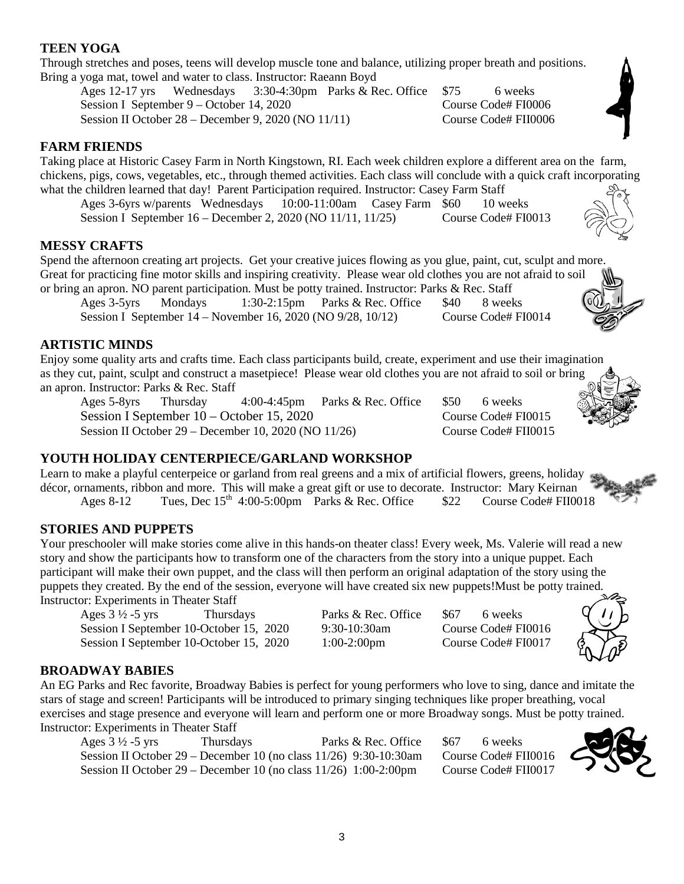#### **TEEN YOGA**

Through stretches and poses, teens will develop muscle tone and balance, utilizing proper breath and positions. Bring a yoga mat, towel and water to class. Instructor: Raeann Boyd

Ages 12-17 yrs Wednesdays 3:30-4:30pm Parks & Rec. Office \$75 6 weeks Session I September 9 – October 14, 2020 Course Code# FI0006 Session II October 28 – December 9, 2020 (NO 11/11) Course Code# FII0006

#### **FARM FRIENDS**

Taking place at Historic Casey Farm in North Kingstown, RI. Each week children explore a different area on the farm, chickens, pigs, cows, vegetables, etc., through themed activities. Each class will conclude with a quick craft incorporating what the children learned that day! Parent Participation required. Instructor: Casey Farm Staff

Ages 3-6yrs w/parents Wednesdays 10:00-11:00am Casey Farm \$60 10 weeks Session I September 16 – December 2, 2020 (NO 11/11, 11/25) Course Code# FI0013

#### **MESSY CRAFTS**

Spend the afternoon creating art projects. Get your creative juices flowing as you glue, paint, cut, sculpt and more. Great for practicing fine motor skills and inspiring creativity. Please wear old clothes you are not afraid to soil or bring an apron. NO parent participation. Must be potty trained. Instructor: Parks & Rec. Staff

Ages 3-5yrs Mondays 1:30-2:15pm Parks & Rec. Office \$40 8 weeks Session I September 14 – November 16, 2020 (NO 9/28, 10/12) Course Code# FI0014

#### **ARTISTIC MINDS**

Enjoy some quality arts and crafts time. Each class participants build, create, experiment and use their imagination as they cut, paint, sculpt and construct a masetpiece! Please wear old clothes you are not afraid to soil or bring an apron. Instructor: Parks & Rec. Staff

Ages 5-8yrs Thursday 4:00-4:45pm Parks & Rec. Office \$50 6 weeks Session I September 10 – October 15, 2020 Course Code# FI0015 Session II October 29 – December 10, 2020 (NO 11/26) Course Code# FII0015

#### **YOUTH HOLIDAY CENTERPIECE/GARLAND WORKSHOP**

Learn to make a playful centerpeice or garland from real greens and a mix of artificial flowers, greens, holiday décor, ornaments, ribbon and more. This will make a great gift or use to decorate. Instructor: Mary Keirnan Ages 8-12 Tues, Dec 15<sup>th</sup> 4:00-5:00pm Parks & Rec. Office  $$22$  Course Code# FII0018

#### **STORIES AND PUPPETS**

Your preschooler will make stories come alive in this hands-on theater class! Every week, Ms. Valerie will read a new story and show the participants how to transform one of the characters from the story into a unique puppet. Each participant will make their own puppet, and the class will then perform an original adaptation of the story using the puppets they created. By the end of the session, everyone will have created six new puppets!Must be potty trained. Instructor: Experiments in Theater Staff

Ages 3 <sup>1</sup>/<sub>2</sub> -5 yrs Thursdays Parks & Rec. Office \$67 6 weeks<br>Session I September 10-October 15, 2020 9:30-10:30am Course Code# FI0016 Session I September 10-October 15, 2020 9:30-10:30am Session I September 10-October 15, 2020 1:00-2:00pm Course Code# FI0017

Course Code# FII0016 Course Code# FII0017



| Ages $3\frac{1}{2}$ -5 yrs | Thursdays                                                              | Parks & Rec. Office | \$67 | 6 weeks        |
|----------------------------|------------------------------------------------------------------------|---------------------|------|----------------|
|                            | Session II October $29$ – December 10 (no class $11/26$ ) 9:30-10:30am |                     |      | Course Code# F |
|                            | Session II October 29 – December 10 (no class $11/26$ ) 1:00-2:00pm    |                     |      | Course Code# F |

#### 3













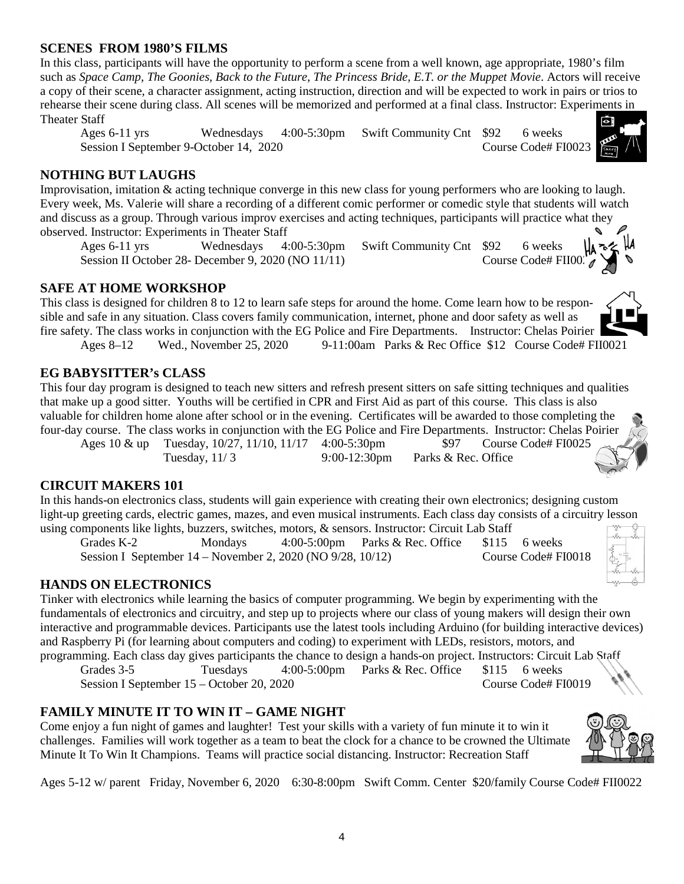#### **SCENES FROM 1980'S FILMS**

In this class, participants will have the opportunity to perform a scene from a well known, age appropriate, 1980's film such as *Space Camp, The Goonies, Back to the Future, The Princess Bride, E.T. or the Muppet Movie*. Actors will receive a copy of their scene, a character assignment, acting instruction, direction and will be expected to work in pairs or trios to rehearse their scene during class. All scenes will be memorized and performed at a final class. Instructor: Experiments in Theater Staff

Ages 6-11 yrs Wednesdays 4:00-5:30pm Swift Community Cnt \$92 6 weeks Session I September 9-October 14, 2020 Course Code# FI0023

#### **NOTHING BUT LAUGHS**

Improvisation, imitation & acting technique converge in this new class for young performers who are looking to laugh. Every week, Ms. Valerie will share a recording of a different comic performer or comedic style that students will watch and discuss as a group. Through various improv exercises and acting techniques, participants will practice what they observed. Instructor: Experiments in Theater Staff

Ages 6-11 yrs Wednesdays 4:00-5:30pm Swift Community Cnt \$92 6 weeks<br>Session II October 28- December 9, 2020 (NO 11/11) Course Code# FII00 Session II October 28- December 9, 2020 (NO  $11/11$ )

#### **SAFE AT HOME WORKSHOP**

This class is designed for children 8 to 12 to learn safe steps for around the home. Come learn how to be responsible and safe in any situation. Class covers family communication, internet, phone and door safety as well as fire safety. The class works in conjunction with the EG Police and Fire Departments. Instructor: Chelas Poirier Ages 8–12 Wed., November 25, 2020 9-11:00am Parks & Rec Office \$12 Course Code# FII0021

#### **EG BABYSITTER's CLASS**

This four day program is designed to teach new sitters and refresh present sitters on safe sitting techniques and qualities that make up a good sitter. Youths will be certified in CPR and First Aid as part of this course. This class is also valuable for children home alone after school or in the evening. Certificates will be awarded to those completing the four-day course. The class works in conjunction with the EG Police and Fire Departments. Instructor: Chelas Poirier

Ages 10 & up Tuesday, 10/27, 11/10, 11/17 4:00-5:30pm \$97 Course Code# FI0025 Tuesday, 11/ 3 9*:*00-12:30pm Parks & Rec. Office

#### **CIRCUIT MAKERS 101**

In this hands-on electronics class, students will gain experience with creating their own electronics; designing custom light-up greeting cards, electric games, mazes, and even musical instruments. Each class day consists of a circuitry lesson using components like lights, buzzers, switches, motors, & sensors. Instructor: Circuit Lab Staff

Grades K-2 Mondays 4:00-5:00pm Parks & Rec. Office \$115 6 weeks Session I September 14 – November 2, 2020 (NO 9/28, 10/12) Course Code# FI0018

#### **HANDS ON ELECTRONICS**

Tinker with electronics while learning the basics of computer programming. We begin by experimenting with the fundamentals of electronics and circuitry, and step up to projects where our class of young makers will design their own interactive and programmable devices. Participants use the latest tools including Arduino (for building interactive devices) and Raspberry Pi (for learning about computers and coding) to experiment with LEDs, resistors, motors, and programming. Each class day gives participants the chance to design a hands-on project. Instructors: Circuit Lab Staff

Grades 3-5 Tuesdays 4:00-5:00pm Parks & Rec. Office \$115 6 weeks Session I September 15 – October 20, 2020 Course Code# FI0019

#### **FAMILY MINUTE IT TO WIN IT – GAME NIGHT**

Come enjoy a fun night of games and laughter! Test your skills with a variety of fun minute it to win it challenges. Families will work together as a team to beat the clock for a chance to be crowned the Ultimate Minute It To Win It Champions. Teams will practice social distancing. Instructor: Recreation Staff

Ages 5-12 w/ parent Friday, November 6, 2020 6:30-8:00pm Swift Comm. Center \$20/family Course Code# FII0022

4



















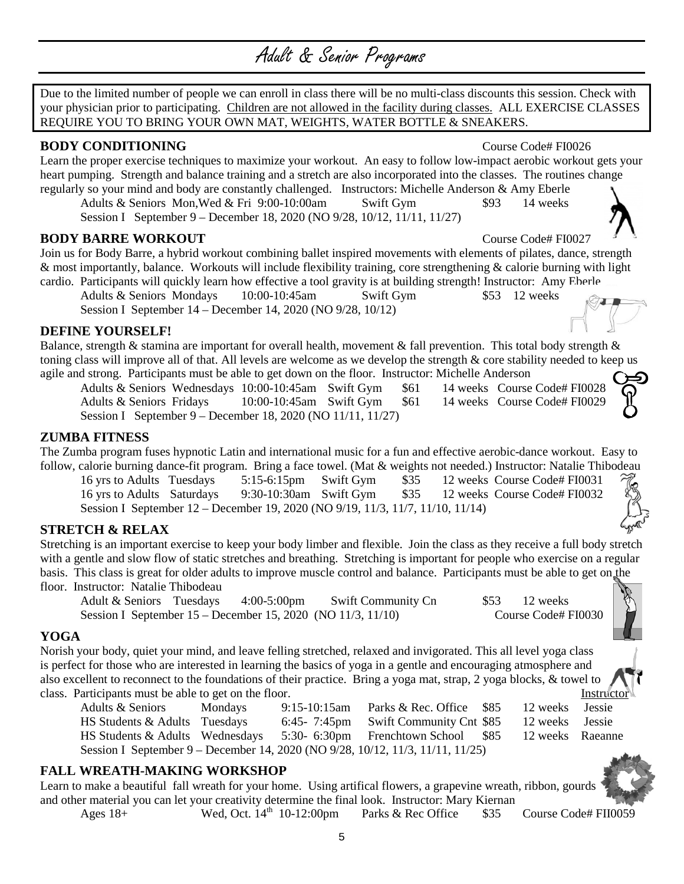# Adult & Senior Programs

Due to the limited number of people we can enroll in class there will be no multi-class discounts this session. Check with your physician prior to participating. Children are not allowed in the facility during classes. ALL EXERCISE CLASSES REQUIRE YOU TO BRING YOUR OWN MAT, WEIGHTS, WATER BOTTLE & SNEAKERS.

#### **BODY CONDITIONING** Course Code# FI0026

Learn the proper exercise techniques to maximize your workout. An easy to follow low-impact aerobic workout gets your heart pumping. Strength and balance training and a stretch are also incorporated into the classes. The routines change

regularly so your mind and body are constantly challenged. Instructors: Michelle Anderson & Amy Eberle Adults & Seniors Mon, Wed & Fri 9:00-10:00am Swift Gym \$93 14 weeks Session I September 9 – December 18, 2020 (NO 9/28, 10/12, 11/11, 11/27)

**BODY BARRE WORKOUT** Course Code# FI0027

Join us for Body Barre, a hybrid workout combining ballet inspired movements with elements of pilates, dance, strength & most importantly, balance. Workouts will include flexibility training, core strengthening & calorie burning with light cardio. Participants will quickly learn how effective a tool gravity is at building strength! Instructor: Amy Eberle

Adults & Seniors Mondays 10:00-10:45am Swift Gym \$53 12 weeks Session I September 14 – December 14, 2020 (NO 9/28, 10/12)

#### **DEFINE YOURSELF!**

Balance, strength  $\&$  stamina are important for overall health, movement  $\&$  fall prevention. This total body strength  $\&$ toning class will improve all of that. All levels are welcome as we develop the strength & core stability needed to keep us agile and strong. Participants must be able to get down on the floor. Instructor: Michelle Anderson

Adults & Seniors Wednesdays 10:00-10:45am Swift Gym \$61 14 weeks Course Code# FI0028 Adults & Seniors Fridays 10:00-10:45am Swift Gym \$61 14 weeks Course Code# FI0029 Session I September 9 – December 18, 2020 (NO 11/11, 11/27)

#### **ZUMBA FITNESS**

The Zumba program fuses hypnotic Latin and international music for a fun and effective aerobic-dance workout. Easy to follow, calorie burning dance-fit program. Bring a face towel. (Mat & weights not needed.) Instructor: Natalie Thibodeau

16 yrs to Adults Tuesdays 5:15-6:15pm Swift Gym \$35 12 weeks Course Code# FI0031 16 yrs to Adults Saturdays 9:30-10:30am Swift Gym \$35 12 weeks Course Code# FI0032 Session I September 12 – December 19, 2020 (NO 9/19, 11/3, 11/7, 11/10, 11/14)

#### **STRETCH & RELAX**

Stretching is an important exercise to keep your body limber and flexible. Join the class as they receive a full body stretch with a gentle and slow flow of static stretches and breathing. Stretching is important for people who exercise on a regular basis. This class is great for older adults to improve muscle control and balance. Participants must be able to get on the floor. Instructor: Natalie Thibodeau

Adult & Seniors Tuesdays 4:00-5:00pm Swift Community Cn \$53 12 weeks<br>Session I September 15 – December 15, 2020 (NO 11/3, 11/10) Course Code# FI0030 Session I September  $15 -$ December 15, 2020 (NO 11/3, 11/10)

#### **YOGA**

Norish your body, quiet your mind, and leave felling stretched, relaxed and invigorated. This all level yoga class is perfect for those who are interested in learning the basics of yoga in a gentle and encouraging atmosphere and also excellent to reconnect to the foundations of their practice. Bring a yoga mat, strap, 2 yoga blocks, & towel to class. Participants must be able to get on the floor. Instructor is a set of the floor.

Adults & Seniors Mondays 9:15-10:15am Parks & Rec. Office \$85 12 weeks Jessie HS Students & Adults Tuesdays 6:45- 7:45pm Swift Community Cnt \$85 12 weeks Jessie HS Students & Adults Wednesdays 5:30- 6:30pm Frenchtown School \$85 12 weeks Raeanne Session I September 9 – December 14, 2020 (NO 9/28, 10/12, 11/3, 11/11, 11/25)

#### **FALL WREATH-MAKING WORKSHOP**

Learn to make a beautiful fall wreath for your home. Using artifical flowers, a grapevine wreath, ribbon, gourds and other material you can let your creativity determine the final look. Instructor: Mary Kiernan

Ages  $18+$  Wed, Oct.  $14<sup>th</sup> 10-12:00 \text{pm}$  Parks & Rec Office \$35 Course Code# FII0059









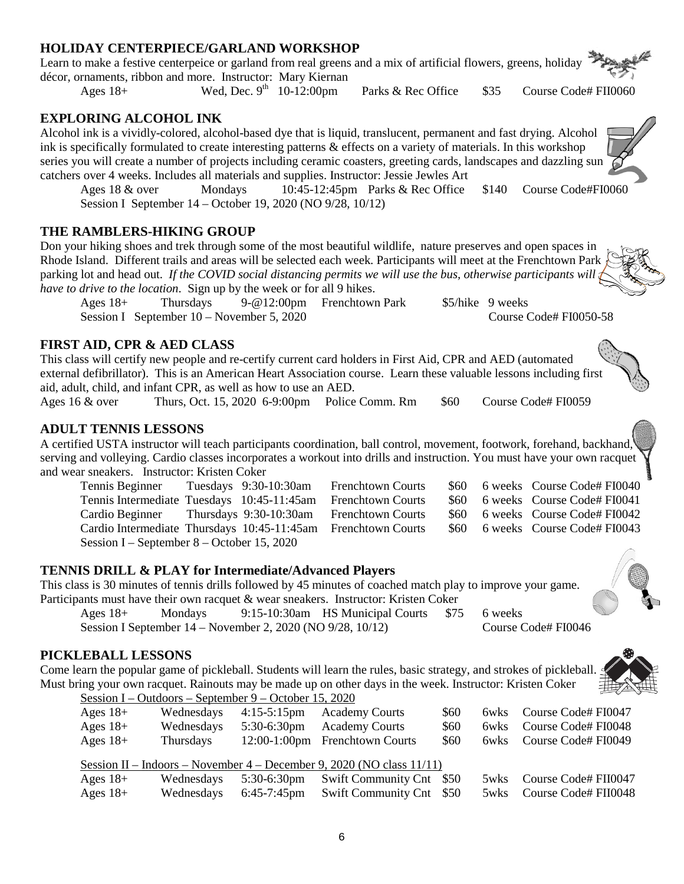#### **HOLIDAY CENTERPIECE/GARLAND WORKSHOP**

Learn to make a festive centerpeice or garland from real greens and a mix of artificial flowers, greens, holiday décor, ornaments, ribbon and more. Instructor: Mary Kiernan

Ages  $18+$  Wed, Dec.  $9<sup>th</sup>$  10-12:00pm Parks & Rec Office \$35 Course Code# FII0060

#### **EXPLORING ALCOHOL INK**

Alcohol ink is a vividly-colored, alcohol-based dye that is liquid, translucent, permanent and fast drying. Alcohol ink is specifically formulated to create interesting patterns & effects on a variety of materials. In this workshop series you will create a number of projects including ceramic coasters, greeting cards, landscapes and dazzling sun catchers over 4 weeks. Includes all materials and supplies. Instructor: Jessie Jewles Art

Ages 18 & over Mondays 10:45-12:45pm Parks & Rec Office \$140 Course Code#FI0060 Session I September 14 – October 19, 2020 (NO 9/28, 10/12)

#### **THE RAMBLERS-HIKING GROUP**

Don your hiking shoes and trek through some of the most beautiful wildlife, nature preserves and open spaces in Rhode Island. Different trails and areas will be selected each week. Participants will meet at the Frenchtown Park parking lot and head out. *If the COVID social distancing permits we will use the bus, otherwise participants will have to drive to the location*. Sign up by the week or for all 9 hikes.

Ages 18+ Thursdays 9-@12:00pm Frenchtown Park \$5/hike 9 weeks Session I September 10 – November 5, 2020 Course Code# FI0050-58

#### **FIRST AID, CPR & AED CLASS**

This class will certify new people and re-certify current card holders in First Aid, CPR and AED (automated external defibrillator). This is an American Heart Association course. Learn these valuable lessons including first aid, adult, child, and infant CPR, as well as how to use an AED.

Ages 16 & over Thurs, Oct. 15, 2020 6-9:00pm Police Comm. Rm \$60 Course Code# FI0059

#### **ADULT TENNIS LESSONS**

A certified USTA instructor will teach participants coordination, ball control, movement, footwork, forehand, backhand, serving and volleying. Cardio classes incorporates a workout into drills and instruction. You must have your own racquet and wear sneakers. Instructor: Kristen Coker

Tennis Beginner Tuesdays 9:30-10:30am Frenchtown Courts \$60 6 weeks Course Code# FI0040 Tennis Intermediate Tuesdays 10:45-11:45am Frenchtown Courts \$60 6 weeks Course Code# FI0041 Cardio Beginner Thursdays 9:30-10:30am Frenchtown Courts \$60 6 weeks Course Code# FI0042 Cardio Intermediate Thursdays 10:45-11:45am Frenchtown Courts \$60 6 weeks Course Code# FI0043 Session I – September 8 – October 15, 2020

## **TENNIS DRILL & PLAY for Intermediate/Advanced Players**

This class is 30 minutes of tennis drills followed by 45 minutes of coached match play to improve your game. Participants must have their own racquet & wear sneakers. Instructor: Kristen Coker

Ages 18+ Mondays 9:15-10:30am HS Municipal Courts \$75 6 weeks<br>Session I September 14 – November 2, 2020 (NO 9/28, 10/12) Course Code# FI0046 Session I September  $14 -$  November 2, 2020 (NO 9/28,  $10/12$ )

### **PICKLEBALL LESSONS**

Come learn the popular game of pickleball. Students will learn the rules, basic strategy, and strokes of pickleball. Must bring your own racquet. Rainouts may be made up on other days in the week. Instructor: Kristen Coker Session I – Outdoors – September 9 – October 15, 2020

| Ages $18+$ | Wednesdays | $4:15-5:15 \text{pm}$ | <b>Academy Courts</b>                                                    | \$60 |      | 6wks Course Code# FI0047 |
|------------|------------|-----------------------|--------------------------------------------------------------------------|------|------|--------------------------|
| Ages $18+$ | Wednesdays | $5:30-6:30$ pm        | <b>Academy Courts</b>                                                    | \$60 |      | 6wks Course Code# FI0048 |
| Ages $18+$ | Thursdays  |                       | 12:00-1:00pm Frenchtown Courts                                           | \$60 |      | 6wks Course Code# FI0049 |
|            |            |                       |                                                                          |      |      |                          |
|            |            |                       | Session II – Indoors – November 4 – December 9, 2020 (NO class $11/11$ ) |      |      |                          |
| Ages $18+$ | Wednesdays | $5:30-6:30$ pm        | Swift Community Cnt \$50                                                 |      | 5wks | Course Code# FII0047     |









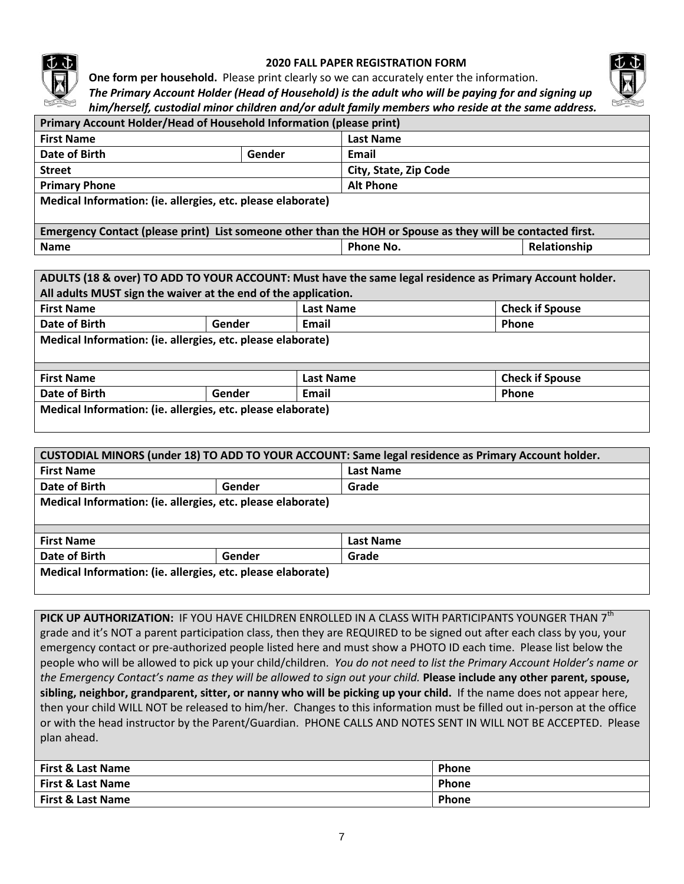

#### **2020 FALL PAPER REGISTRATION FORM**



**One form per household.** Please print clearly so we can accurately enter the information.

*The Primary Account Holder (Head of Household) is the adult who will be paying for and signing up him/herself, custodial minor children and/or adult family members who reside at the same address.*

| Primary Account Holder/Head of Household Information (please print)                                         |        |                       |              |  |  |
|-------------------------------------------------------------------------------------------------------------|--------|-----------------------|--------------|--|--|
| <b>First Name</b>                                                                                           |        | <b>Last Name</b>      |              |  |  |
| Date of Birth                                                                                               | Gender | Email                 |              |  |  |
| <b>Street</b>                                                                                               |        | City, State, Zip Code |              |  |  |
| <b>Primary Phone</b>                                                                                        |        | <b>Alt Phone</b>      |              |  |  |
| Medical Information: (ie. allergies, etc. please elaborate)                                                 |        |                       |              |  |  |
|                                                                                                             |        |                       |              |  |  |
| Emergency Contact (please print) List someone other than the HOH or Spouse as they will be contacted first. |        |                       |              |  |  |
| <b>Name</b>                                                                                                 |        | Phone No.             | Relationship |  |  |

|                                                                 |                          |  | ADULTS (18 & over) TO ADD TO YOUR ACCOUNT: Must have the same legal residence as Primary Account holder. |  |  |
|-----------------------------------------------------------------|--------------------------|--|----------------------------------------------------------------------------------------------------------|--|--|
| All adults MUST sign the waiver at the end of the application.  |                          |  |                                                                                                          |  |  |
| <b>Check if Spouse</b><br><b>Last Name</b><br><b>First Name</b> |                          |  |                                                                                                          |  |  |
| Date of Birth                                                   | Phone<br>Email<br>Gender |  |                                                                                                          |  |  |
| Medical Information: (ie. allergies, etc. please elaborate)     |                          |  |                                                                                                          |  |  |
| <b>Check if Spouse</b><br><b>First Name</b><br><b>Last Name</b> |                          |  |                                                                                                          |  |  |
| Date of Birth<br>Gender<br>Email<br>Phone                       |                          |  |                                                                                                          |  |  |
| Medical Information: (ie. allergies, etc. please elaborate)     |                          |  |                                                                                                          |  |  |

| CUSTODIAL MINORS (under 18) TO ADD TO YOUR ACCOUNT: Same legal residence as Primary Account holder. |                                                             |                  |  |  |  |
|-----------------------------------------------------------------------------------------------------|-------------------------------------------------------------|------------------|--|--|--|
| <b>First Name</b>                                                                                   |                                                             | <b>Last Name</b> |  |  |  |
| Date of Birth                                                                                       | Gender                                                      | Grade            |  |  |  |
|                                                                                                     | Medical Information: (ie. allergies, etc. please elaborate) |                  |  |  |  |
|                                                                                                     |                                                             |                  |  |  |  |
|                                                                                                     |                                                             |                  |  |  |  |
| <b>First Name</b>                                                                                   |                                                             | <b>Last Name</b> |  |  |  |
| Date of Birth                                                                                       | Gender                                                      | Grade            |  |  |  |
|                                                                                                     | Medical Information: (ie. allergies, etc. please elaborate) |                  |  |  |  |

PICK UP AUTHORIZATION: IF YOU HAVE CHILDREN ENROLLED IN A CLASS WITH PARTICIPANTS YOUNGER THAN 7<sup>th</sup> grade and it's NOT a parent participation class, then they are REQUIRED to be signed out after each class by you, your emergency contact or pre-authorized people listed here and must show a PHOTO ID each time. Please list below the people who will be allowed to pick up your child/children. *You do not need to list the Primary Account Holder's name or the Emergency Contact's name as they will be allowed to sign out your child.* **Please include any other parent, spouse, sibling, neighbor, grandparent, sitter, or nanny who will be picking up your child.** If the name does not appear here, then your child WILL NOT be released to him/her. Changes to this information must be filled out in-person at the office or with the head instructor by the Parent/Guardian. PHONE CALLS AND NOTES SENT IN WILL NOT BE ACCEPTED. Please plan ahead.

| <b>First &amp; Last Name</b> | <b>Phone</b> |
|------------------------------|--------------|
| First & Last Name            | Phone        |
| <b>First &amp; Last Name</b> | Phone        |